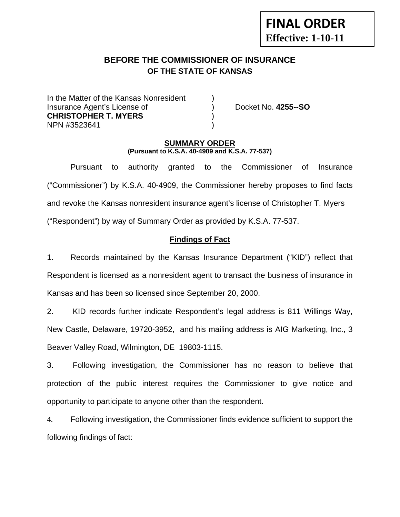# **FINAL ORDER Effective: 1-10-11**

# **BEFORE THE COMMISSIONER OF INSURANCE OF THE STATE OF KANSAS**

In the Matter of the Kansas Nonresident Insurance Agent's License of ) Docket No. **4255--SO CHRISTOPHER T. MYERS** ) NPN #3523641 )

### **SUMMARY ORDER (Pursuant to K.S.A. 40-4909 and K.S.A. 77-537)**

 Pursuant to authority granted to the Commissioner of Insurance ("Commissioner") by K.S.A. 40-4909, the Commissioner hereby proposes to find facts and revoke the Kansas nonresident insurance agent's license of Christopher T. Myers ("Respondent") by way of Summary Order as provided by K.S.A. 77-537.

# **Findings of Fact**

1. Records maintained by the Kansas Insurance Department ("KID") reflect that Respondent is licensed as a nonresident agent to transact the business of insurance in Kansas and has been so licensed since September 20, 2000.

2. KID records further indicate Respondent's legal address is 811 Willings Way, New Castle, Delaware, 19720-3952, and his mailing address is AIG Marketing, Inc., 3 Beaver Valley Road, Wilmington, DE 19803-1115.

3. Following investigation, the Commissioner has no reason to believe that protection of the public interest requires the Commissioner to give notice and opportunity to participate to anyone other than the respondent.

4. Following investigation, the Commissioner finds evidence sufficient to support the following findings of fact: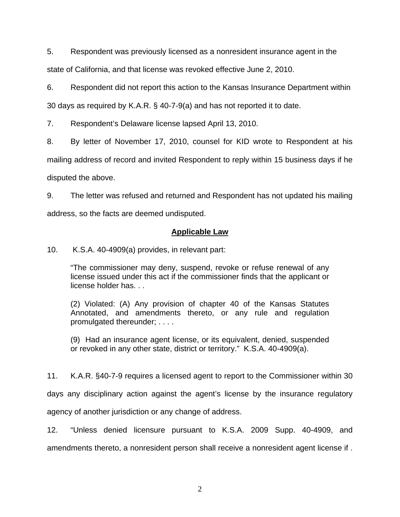5. Respondent was previously licensed as a nonresident insurance agent in the state of California, and that license was revoked effective June 2, 2010.

6. Respondent did not report this action to the Kansas Insurance Department within

30 days as required by K.A.R. § 40-7-9(a) and has not reported it to date.

7. Respondent's Delaware license lapsed April 13, 2010.

8. By letter of November 17, 2010, counsel for KID wrote to Respondent at his mailing address of record and invited Respondent to reply within 15 business days if he disputed the above.

9. The letter was refused and returned and Respondent has not updated his mailing address, so the facts are deemed undisputed.

## **Applicable Law**

10. K.S.A. 40-4909(a) provides, in relevant part:

"The commissioner may deny, suspend, revoke or refuse renewal of any license issued under this act if the commissioner finds that the applicant or license holder has. . .

(2) Violated: (A) Any provision of chapter 40 of the Kansas Statutes Annotated, and amendments thereto, or any rule and regulation promulgated thereunder; . . . .

(9) Had an insurance agent license, or its equivalent, denied, suspended or revoked in any other state, district or territory." K.S.A. 40-4909(a).

11. K.A.R. §40-7-9 requires a licensed agent to report to the Commissioner within 30

days any disciplinary action against the agent's license by the insurance regulatory

agency of another jurisdiction or any change of address.

12. "Unless denied licensure pursuant to K.S.A. 2009 Supp. 40-4909, and amendments thereto, a nonresident person shall receive a nonresident agent license if .

2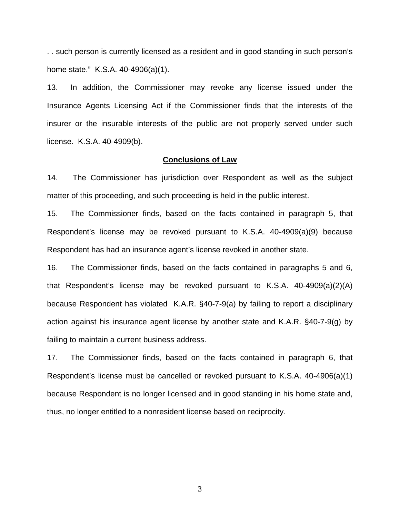. . such person is currently licensed as a resident and in good standing in such person's home state." K.S.A. 40-4906(a)(1).

13. In addition, the Commissioner may revoke any license issued under the Insurance Agents Licensing Act if the Commissioner finds that the interests of the insurer or the insurable interests of the public are not properly served under such license. K.S.A. 40-4909(b).

#### **Conclusions of Law**

14. The Commissioner has jurisdiction over Respondent as well as the subject matter of this proceeding, and such proceeding is held in the public interest.

15. The Commissioner finds, based on the facts contained in paragraph 5, that Respondent's license may be revoked pursuant to K.S.A. 40-4909(a)(9) because Respondent has had an insurance agent's license revoked in another state.

16. The Commissioner finds, based on the facts contained in paragraphs 5 and 6, that Respondent's license may be revoked pursuant to K.S.A. 40-4909(a)(2)(A) because Respondent has violated K.A.R. §40-7-9(a) by failing to report a disciplinary action against his insurance agent license by another state and K.A.R. §40-7-9(g) by failing to maintain a current business address.

17. The Commissioner finds, based on the facts contained in paragraph 6, that Respondent's license must be cancelled or revoked pursuant to K.S.A. 40-4906(a)(1) because Respondent is no longer licensed and in good standing in his home state and, thus, no longer entitled to a nonresident license based on reciprocity.

3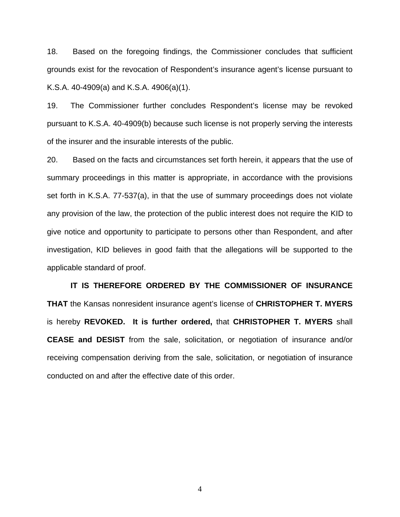18. Based on the foregoing findings, the Commissioner concludes that sufficient grounds exist for the revocation of Respondent's insurance agent's license pursuant to K.S.A. 40-4909(a) and K.S.A. 4906(a)(1).

19. The Commissioner further concludes Respondent's license may be revoked pursuant to K.S.A. 40-4909(b) because such license is not properly serving the interests of the insurer and the insurable interests of the public.

20. Based on the facts and circumstances set forth herein, it appears that the use of summary proceedings in this matter is appropriate, in accordance with the provisions set forth in K.S.A. 77-537(a), in that the use of summary proceedings does not violate any provision of the law, the protection of the public interest does not require the KID to give notice and opportunity to participate to persons other than Respondent, and after investigation, KID believes in good faith that the allegations will be supported to the applicable standard of proof.

 **IT IS THEREFORE ORDERED BY THE COMMISSIONER OF INSURANCE THAT** the Kansas nonresident insurance agent's license of **CHRISTOPHER T. MYERS**  is hereby **REVOKED. It is further ordered,** that **CHRISTOPHER T. MYERS** shall **CEASE and DESIST** from the sale, solicitation, or negotiation of insurance and/or receiving compensation deriving from the sale, solicitation, or negotiation of insurance conducted on and after the effective date of this order.

4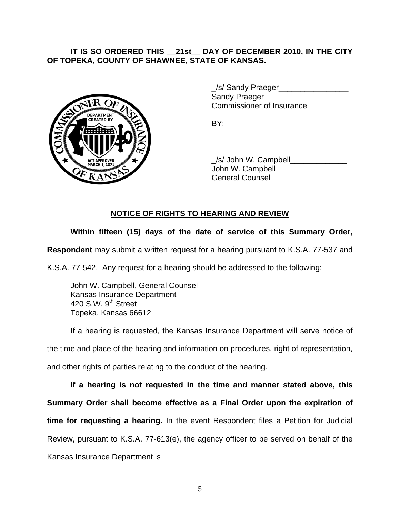## **IT IS SO ORDERED THIS \_\_21st\_\_ DAY OF DECEMBER 2010, IN THE CITY OF TOPEKA, COUNTY OF SHAWNEE, STATE OF KANSAS.**



/s/ Sandy Praeger Sandy Praeger Commissioner of Insurance

 \_/s/ John W. Campbell\_\_\_\_\_\_\_\_\_\_\_\_\_ John W. Campbell General Counsel

# **NOTICE OF RIGHTS TO HEARING AND REVIEW**

# **Within fifteen (15) days of the date of service of this Summary Order,**

**Respondent** may submit a written request for a hearing pursuant to K.S.A. 77-537 and

K.S.A. 77-542. Any request for a hearing should be addressed to the following:

 John W. Campbell, General Counsel Kansas Insurance Department 420 S.W. 9<sup>th</sup> Street Topeka, Kansas 66612

If a hearing is requested, the Kansas Insurance Department will serve notice of the time and place of the hearing and information on procedures, right of representation, and other rights of parties relating to the conduct of the hearing.

**If a hearing is not requested in the time and manner stated above, this Summary Order shall become effective as a Final Order upon the expiration of time for requesting a hearing.** In the event Respondent files a Petition for Judicial Review, pursuant to K.S.A. 77-613(e), the agency officer to be served on behalf of the Kansas Insurance Department is